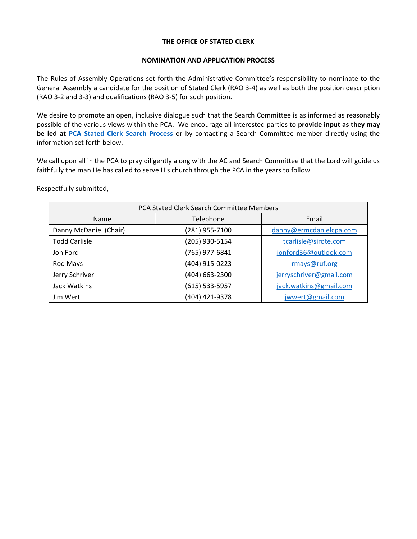# **THE OFFICE OF STATED CLERK**

### **NOMINATION AND APPLICATION PROCESS**

The Rules of Assembly Operations set forth the Administrative Committee's responsibility to nominate to the General Assembly a candidate for the position of Stated Clerk (RAO 3-4) as well as both the position description (RAO 3-2 and 3-3) and qualifications (RAO 3-5) for such position.

We desire to promote an open, inclusive dialogue such that the Search Committee is as informed as reasonably possible of the various views within the PCA. We encourage all interested parties to **provide input as they may be led at [PCA Stated Clerk Search Process](https://forms.gle/tLU3kycjJig3Vgfi8)** or by contacting a Search Committee member directly using the information set forth below.

We call upon all in the PCA to pray diligently along with the AC and Search Committee that the Lord will guide us faithfully the man He has called to serve His church through the PCA in the years to follow.

Respectfully submitted,

| PCA Stated Clerk Search Committee Members |                  |                         |
|-------------------------------------------|------------------|-------------------------|
| Name                                      | Telephone        | Email                   |
| Danny McDaniel (Chair)                    | (281) 955-7100   | danny@ermcdanielcpa.com |
| <b>Todd Carlisle</b>                      | (205) 930-5154   | tcarlisle@sirote.com    |
| Jon Ford                                  | (765) 977-6841   | jonford36@outlook.com   |
| Rod Mays                                  | (404) 915-0223   | rmays@ruf.org           |
| Jerry Schriver                            | (404) 663-2300   | jerryschriver@gmail.com |
| Jack Watkins                              | $(615)$ 533-5957 | jack.watkins@gmail.com  |
| Jim Wert                                  | (404) 421-9378   | jwwert@gmail.com        |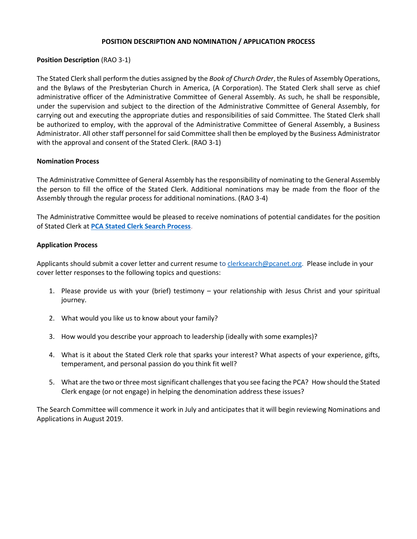# **POSITION DESCRIPTION AND NOMINATION / APPLICATION PROCESS**

# **Position Description** (RAO 3-1)

The Stated Clerk shall perform the duties assigned by the *Book of Church Order*, the Rules of Assembly Operations, and the Bylaws of the Presbyterian Church in America, (A Corporation). The Stated Clerk shall serve as chief administrative officer of the Administrative Committee of General Assembly. As such, he shall be responsible, under the supervision and subject to the direction of the Administrative Committee of General Assembly, for carrying out and executing the appropriate duties and responsibilities of said Committee. The Stated Clerk shall be authorized to employ, with the approval of the Administrative Committee of General Assembly, a Business Administrator. All other staff personnel for said Committee shall then be employed by the Business Administrator with the approval and consent of the Stated Clerk. (RAO 3-1)

# **Nomination Process**

The Administrative Committee of General Assembly has the responsibility of nominating to the General Assembly the person to fill the office of the Stated Clerk. Additional nominations may be made from the floor of the Assembly through the regular process for additional nominations. (RAO 3-4)

The Administrative Committee would be pleased to receive nominations of potential candidates for the position of Stated Clerk at **[PCA Stated Clerk Search Process](https://forms.gle/tLU3kycjJig3Vgfi8)**.

# **Application Process**

Applicants should submit a cover letter and current resume to [clerksearch@pcanet.org.](mailto:clerksearch@pcanet.org) Please include in your cover letter responses to the following topics and questions:

- 1. Please provide us with your (brief) testimony your relationship with Jesus Christ and your spiritual journey.
- 2. What would you like us to know about your family?
- 3. How would you describe your approach to leadership (ideally with some examples)?
- 4. What is it about the Stated Clerk role that sparks your interest? What aspects of your experience, gifts, temperament, and personal passion do you think fit well?
- 5. What are the two or three most significant challenges that you see facing the PCA? How should the Stated Clerk engage (or not engage) in helping the denomination address these issues?

The Search Committee will commence it work in July and anticipates that it will begin reviewing Nominations and Applications in August 2019.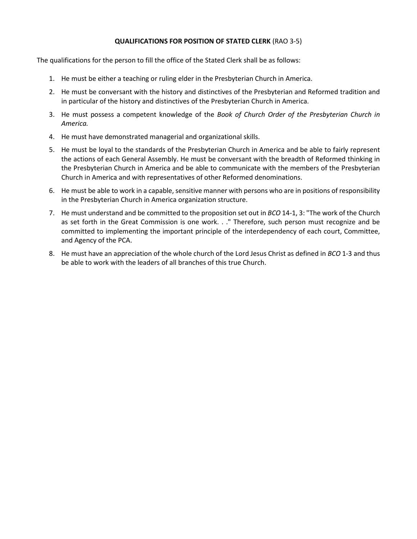# **QUALIFICATIONS FOR POSITION OF STATED CLERK** (RAO 3-5)

The qualifications for the person to fill the office of the Stated Clerk shall be as follows:

- 1. He must be either a teaching or ruling elder in the Presbyterian Church in America.
- 2. He must be conversant with the history and distinctives of the Presbyterian and Reformed tradition and in particular of the history and distinctives of the Presbyterian Church in America.
- 3. He must possess a competent knowledge of the *Book of Church Order of the Presbyterian Church in America.*
- 4. He must have demonstrated managerial and organizational skills.
- 5. He must be loyal to the standards of the Presbyterian Church in America and be able to fairly represent the actions of each General Assembly. He must be conversant with the breadth of Reformed thinking in the Presbyterian Church in America and be able to communicate with the members of the Presbyterian Church in America and with representatives of other Reformed denominations.
- 6. He must be able to work in a capable, sensitive manner with persons who are in positions of responsibility in the Presbyterian Church in America organization structure.
- 7. He must understand and be committed to the proposition set out in *BCO* 14-1, 3: "The work of the Church as set forth in the Great Commission is one work. . ." Therefore, such person must recognize and be committed to implementing the important principle of the interdependency of each court, Committee, and Agency of the PCA.
- 8. He must have an appreciation of the whole church of the Lord Jesus Christ as defined in *BCO* 1-3 and thus be able to work with the leaders of all branches of this true Church.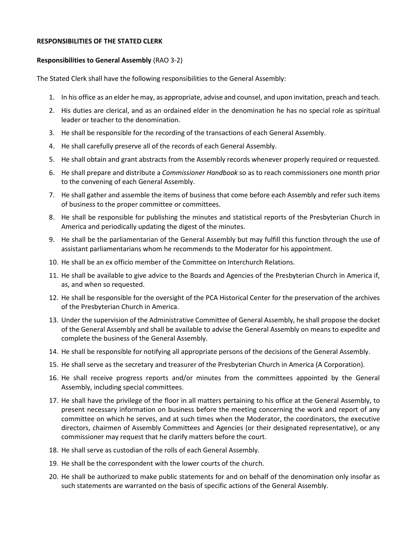#### **RESPONSIBILITIES OF THE STATED CLERK**

#### **Responsibilities to General Assembly** (RAO 3-2)

The Stated Clerk shall have the following responsibilities to the General Assembly:

- 1. In his office as an elder he may, as appropriate, advise and counsel, and upon invitation, preach and teach.
- 2. His duties are clerical, and as an ordained elder in the denomination he has no special role as spiritual leader or teacher to the denomination.
- 3. He shall be responsible for the recording of the transactions of each General Assembly.
- 4. He shall carefully preserve all of the records of each General Assembly.
- 5. He shall obtain and grant abstracts from the Assembly records whenever properly required or requested.
- 6. He shall prepare and distribute a *Commissioner Handbook* so as to reach commissioners one month prior to the convening of each General Assembly.
- 7. He shall gather and assemble the items of business that come before each Assembly and refer such items of business to the proper committee or committees.
- 8. He shall be responsible for publishing the minutes and statistical reports of the Presbyterian Church in America and periodically updating the digest of the minutes.
- 9. He shall be the parliamentarian of the General Assembly but may fulfill this function through the use of assistant parliamentarians whom he recommends to the Moderator for his appointment.
- 10. He shall be an ex officio member of the Committee on Interchurch Relations.
- 11. He shall be available to give advice to the Boards and Agencies of the Presbyterian Church in America if, as, and when so requested.
- 12. He shall be responsible for the oversight of the PCA Historical Center for the preservation of the archives of the Presbyterian Church in America.
- 13. Under the supervision of the Administrative Committee of General Assembly, he shall propose the docket of the General Assembly and shall be available to advise the General Assembly on means to expedite and complete the business of the General Assembly.
- 14. He shall be responsible for notifying all appropriate persons of the decisions of the General Assembly.
- 15. He shall serve as the secretary and treasurer of the Presbyterian Church in America (A Corporation).
- 16. He shall receive progress reports and/or minutes from the committees appointed by the General Assembly, including special committees.
- 17. He shall have the privilege of the floor in all matters pertaining to his office at the General Assembly, to present necessary information on business before the meeting concerning the work and report of any committee on which he serves, and at such times when the Moderator, the coordinators, the executive directors, chairmen of Assembly Committees and Agencies (or their designated representative), or any commissioner may request that he clarify matters before the court.
- 18. He shall serve as custodian of the rolls of each General Assembly.
- 19. He shall be the correspondent with the lower courts of the church.
- 20. He shall be authorized to make public statements for and on behalf of the denomination only insofar as such statements are warranted on the basis of specific actions of the General Assembly.